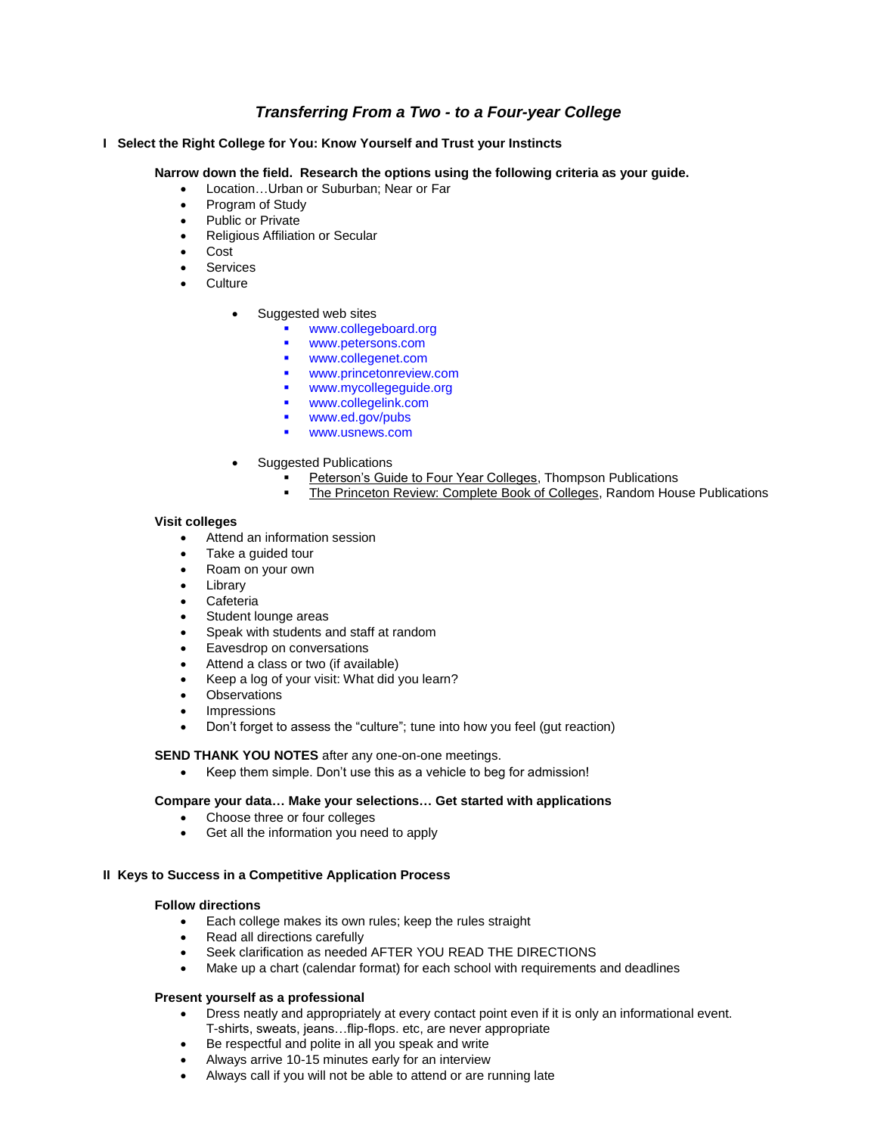# *Transferring From a Two - to a Four-year College*

# **I Select the Right College for You: Know Yourself and Trust your Instincts**

# **Narrow down the field. Research the options using the following criteria as your guide.**

- Location…Urban or Suburban; Near or Far
- Program of Study
- Public or Private
- Religious Affiliation or Secular
- Cost
- **Services**
- **Culture** 
	- Suggested web sites
		- www.collegeboard.org
		- www.petersons.com
		- www.collegenet.com
		- www.princetonreview.com
		- www.mycollegeguide.org
		- www.collegelink.com
		- www.ed.gov/pubs
		- www.usnews.com
	- Suggested Publications
		- Peterson's Guide to Four Year Colleges, Thompson Publications
		- **The Princeton Review: Complete Book of Colleges, Random House Publications**

# **Visit colleges**

- Attend an information session
- Take a guided tour
- Roam on your own
- Library
- Cafeteria
- Student lounge areas
- Speak with students and staff at random
- Eavesdrop on conversations
- Attend a class or two (if available)
- Keep a log of your visit: What did you learn?
- **Observations**
- Impressions
- Don't forget to assess the "culture"; tune into how you feel (gut reaction)

### **SEND THANK YOU NOTES** after any one-on-one meetings.

Keep them simple. Don't use this as a vehicle to beg for admission!

### **Compare your data… Make your selections… Get started with applications**

- Choose three or four colleges
- Get all the information you need to apply

### **II Keys to Success in a Competitive Application Process**

### **Follow directions**

- Each college makes its own rules; keep the rules straight
- Read all directions carefully
- Seek clarification as needed AFTER YOU READ THE DIRECTIONS
- Make up a chart (calendar format) for each school with requirements and deadlines

# **Present yourself as a professional**

- Dress neatly and appropriately at every contact point even if it is only an informational event. T-shirts, sweats, jeans…flip-flops. etc, are never appropriate
- Be respectful and polite in all you speak and write
- Always arrive 10-15 minutes early for an interview
- Always call if you will not be able to attend or are running late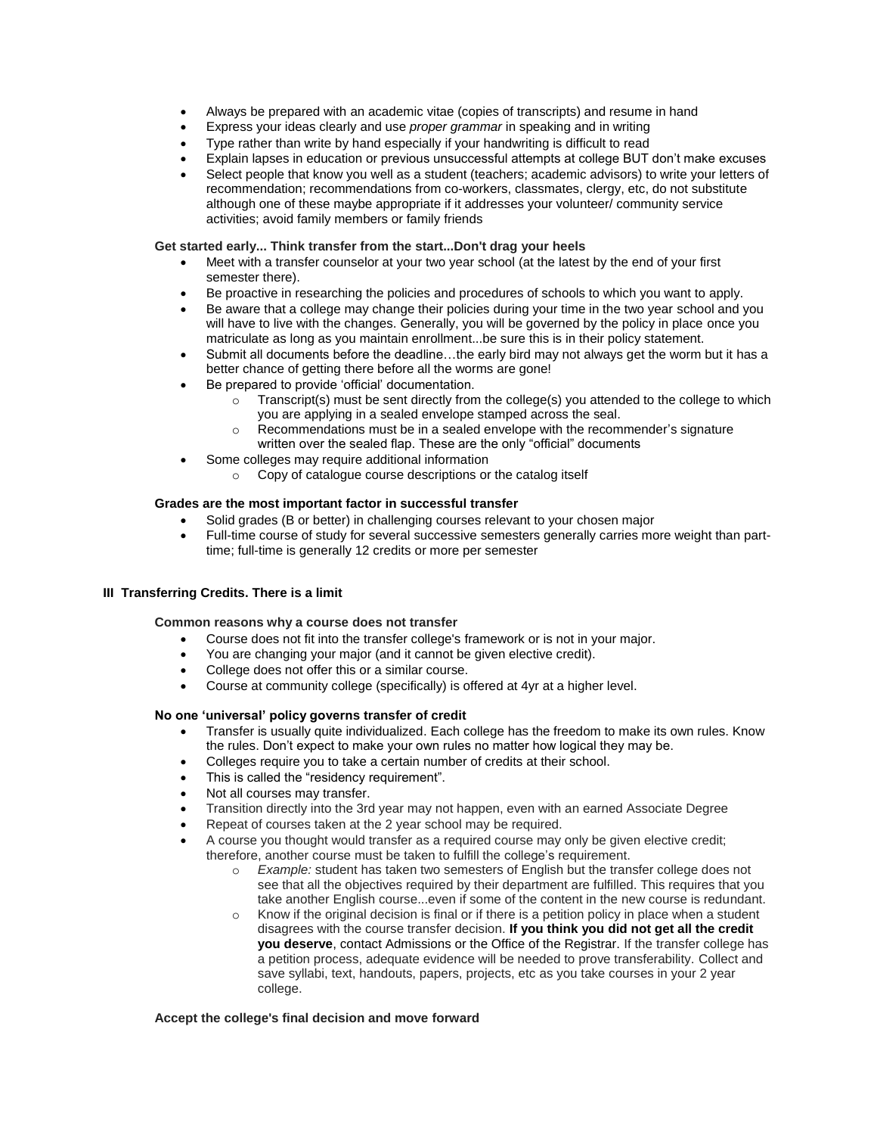- Always be prepared with an academic vitae (copies of transcripts) and resume in hand
- Express your ideas clearly and use *proper grammar* in speaking and in writing
- Type rather than write by hand especially if your handwriting is difficult to read
- Explain lapses in education or previous unsuccessful attempts at college BUT don't make excuses
- Select people that know you well as a student (teachers; academic advisors) to write your letters of recommendation; recommendations from co-workers, classmates, clergy, etc, do not substitute although one of these maybe appropriate if it addresses your volunteer/ community service activities; avoid family members or family friends

### **Get started early... Think transfer from the start...Don't drag your heels**

- Meet with a transfer counselor at your two year school (at the latest by the end of your first semester there).
- Be proactive in researching the policies and procedures of schools to which you want to apply.
- Be aware that a college may change their policies during your time in the two year school and you will have to live with the changes. Generally, you will be governed by the policy in place once you matriculate as long as you maintain enrollment...be sure this is in their policy statement.
- Submit all documents before the deadline…the early bird may not always get the worm but it has a better chance of getting there before all the worms are gone!
- Be prepared to provide 'official' documentation.
	- $\circ$  Transcript(s) must be sent directly from the college(s) you attended to the college to which you are applying in a sealed envelope stamped across the seal.
	- o Recommendations must be in a sealed envelope with the recommender's signature written over the sealed flap. These are the only "official" documents
- Some colleges may require additional information
	- o Copy of catalogue course descriptions or the catalog itself

# **Grades are the most important factor in successful transfer**

- Solid grades (B or better) in challenging courses relevant to your chosen major
- Full-time course of study for several successive semesters generally carries more weight than parttime; full-time is generally 12 credits or more per semester

#### **III Transferring Credits. There is a limit**

### **Common reasons why a course does not transfer**

- Course does not fit into the transfer college's framework or is not in your major.
- You are changing your major (and it cannot be given elective credit).
- College does not offer this or a similar course.
- Course at community college (specifically) is offered at 4yr at a higher level.

#### **No one 'universal' policy governs transfer of credit**

- Transfer is usually quite individualized. Each college has the freedom to make its own rules. Know the rules. Don't expect to make your own rules no matter how logical they may be.
- Colleges require you to take a certain number of credits at their school.
- This is called the "residency requirement".
- Not all courses may transfer.
- Transition directly into the 3rd year may not happen, even with an earned Associate Degree
- Repeat of courses taken at the 2 year school may be required.
- A course you thought would transfer as a required course may only be given elective credit; therefore, another course must be taken to fulfill the college's requirement.
	- Example: student has taken two semesters of English but the transfer college does not see that all the objectives required by their department are fulfilled. This requires that you take another English course...even if some of the content in the new course is redundant.
	- o Know if the original decision is final or if there is a petition policy in place when a student disagrees with the course transfer decision. **If you think you did not get all the credit you deserve**, contact Admissions or the Office of the Registrar. If the transfer college has a petition process, adequate evidence will be needed to prove transferability. Collect and save syllabi, text, handouts, papers, projects, etc as you take courses in your 2 year college.

#### **Accept the college's final decision and move forward**